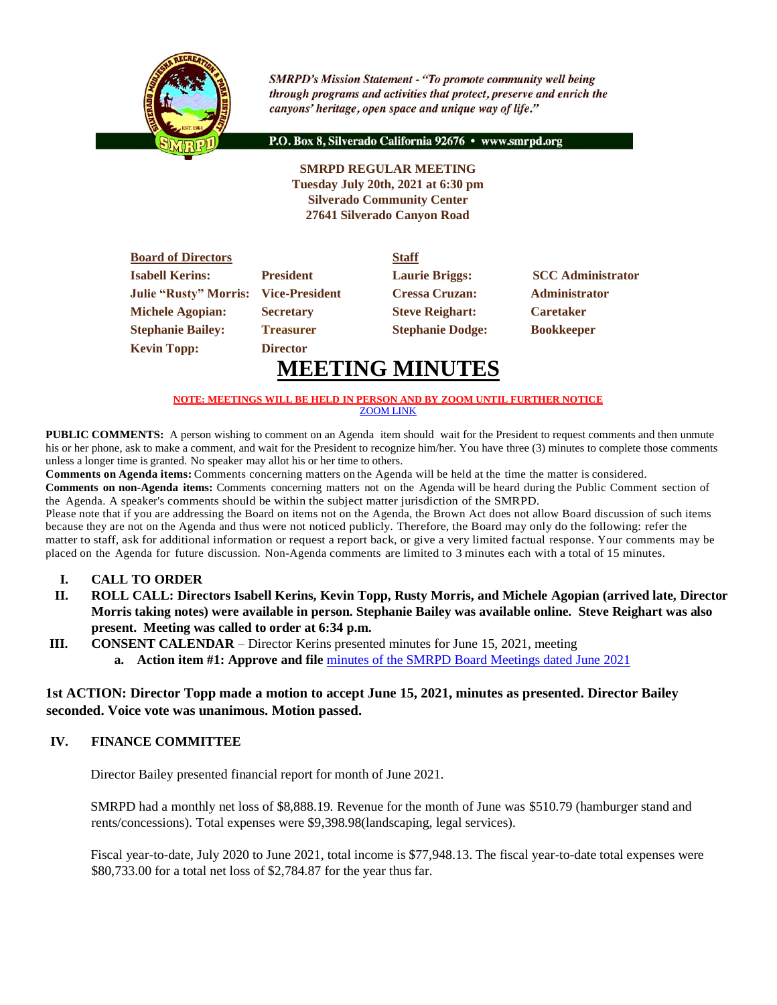

**SMRPD's Mission Statement - "To promote community well being** through programs and activities that protect, preserve and enrich the canyons' heritage, open space and unique way of life."

P.O. Box 8, Silverado California 92676 · www.smrpd.org

## **SMRPD REGULAR MEETING Tuesday July 20th, 2021 at 6:30 pm Silverado Community Center 27641 Silverado Canyon Road**

| <b>Board of Directors</b>                   |                  | <b>Staff</b>            |                          |
|---------------------------------------------|------------------|-------------------------|--------------------------|
| <b>Isabell Kerins:</b>                      | <b>President</b> | <b>Laurie Briggs:</b>   | <b>SCC</b> Administrator |
| <b>Julie "Rusty" Morris: Vice-President</b> |                  | <b>Cressa Cruzan:</b>   | <b>Administrator</b>     |
| <b>Michele Agopian:</b>                     | <b>Secretary</b> | <b>Steve Reighart:</b>  | <b>Caretaker</b>         |
| <b>Stephanie Bailey:</b>                    | <b>Treasurer</b> | <b>Stephanie Dodge:</b> | <b>Bookkeeper</b>        |
| <b>Kevin Topp:</b>                          | <b>Director</b>  |                         |                          |

# **MEETING MINUTES**

#### **NOTE: MEETINGS WILL BE HELD IN PERSON AND BY ZOOM UNTIL FURTHER NOTICE** [ZOOM LINK](https://zoom.us/j/99049794367)

**PUBLIC COMMENTS:** A person wishing to comment on an Agenda item should wait for the President to request comments and then unmute his or her phone, ask to make a comment, and wait for the President to recognize him/her. You have three (3) minutes to complete those comments unless a longer time is granted. No speaker may allot his or her time to others.

**Comments on Agenda items:** Comments concerning matters on the Agenda will be held at the time the matter is considered. **Comments on non-Agenda items:** Comments concerning matters not on the Agenda will be heard during the Public Comment section of the Agenda. A speaker's comments should be within the subject matter jurisdiction of the SMRPD.

Please note that if you are addressing the Board on items not on the Agenda, the Brown Act does not allow Board discussion of such items because they are not on the Agenda and thus were not noticed publicly. Therefore, the Board may only do the following: refer the matter to staff, ask for additional information or request a report back, or give a very limited factual response. Your comments may be placed on the Agenda for future discussion. Non-Agenda comments are limited to 3 minutes each with a total of 15 minutes.

- **I. CALL TO ORDER**
- **II. ROLL CALL: Directors Isabell Kerins, Kevin Topp, Rusty Morris, and Michele Agopian (arrived late, Director Morris taking notes) were available in person. Stephanie Bailey was available online. Steve Reighart was also present. Meeting was called to order at 6:34 p.m.**
- **III. CONSENT CALENDAR** Director Kerins presented minutes for June 15, 2021, meeting
	- **a. Action item #1: Approve and file** [minutes of the SMRPD Board Meetings dated June 2021](https://1drv.ms/b/s!An_OKisCbP0FinDBduTfcSWYM5wz?e=HybGqA)

## **1st ACTION: Director Topp made a motion to accept June 15, 2021, minutes as presented. Director Bailey seconded. Voice vote was unanimous. Motion passed.**

## **IV. FINANCE COMMITTEE**

Director Bailey presented financial report for month of June 2021.

SMRPD had a monthly net loss of \$8,888.19. Revenue for the month of June was \$510.79 (hamburger stand and rents/concessions). Total expenses were \$9,398.98(landscaping, legal services).

Fiscal year-to-date, July 2020 to June 2021, total income is \$77,948.13. The fiscal year-to-date total expenses were \$80,733.00 for a total net loss of \$2,784.87 for the year thus far.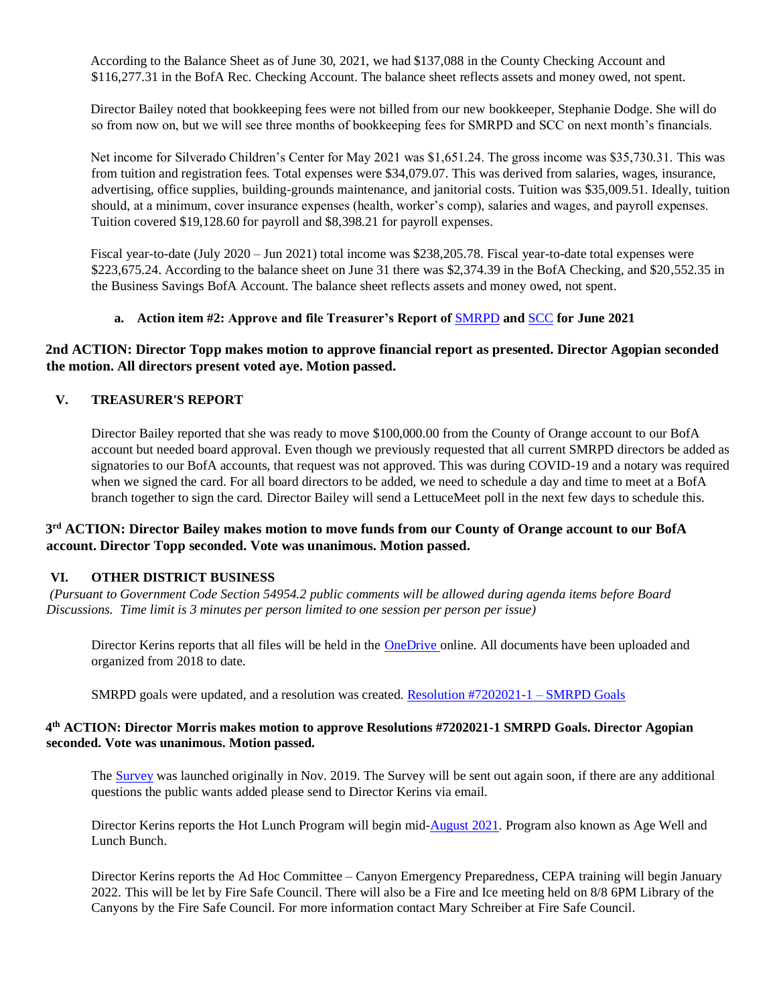According to the Balance Sheet as of June 30, 2021, we had \$137,088 in the County Checking Account and \$116,277.31 in the BofA Rec. Checking Account. The balance sheet reflects assets and money owed, not spent.

Director Bailey noted that bookkeeping fees were not billed from our new bookkeeper, Stephanie Dodge. She will do so from now on, but we will see three months of bookkeeping fees for SMRPD and SCC on next month's financials.

Net income for Silverado Children's Center for May 2021 was \$1,651.24. The gross income was \$35,730.31. This was from tuition and registration fees. Total expenses were \$34,079.07. This was derived from salaries, wages, insurance, advertising, office supplies, building-grounds maintenance, and janitorial costs. Tuition was \$35,009.51. Ideally, tuition should, at a minimum, cover insurance expenses (health, worker's comp), salaries and wages, and payroll expenses. Tuition covered \$19,128.60 for payroll and \$8,398.21 for payroll expenses.

Fiscal year-to-date (July 2020 – Jun 2021) total income was \$238,205.78. Fiscal year-to-date total expenses were \$223,675.24. According to the balance sheet on June 31 there was \$2,374.39 in the BofA Checking, and \$20,552.35 in the Business Savings BofA Account. The balance sheet reflects assets and money owed, not spent.

#### **a. Action item #2: Approve and file Treasurer's Report of** [SMRPD](https://1drv.ms/b/s!An_OKisCbP0FimXiP6dOS1iC3Th8?e=6BjdyF) **and** [SCC](https://1drv.ms/b/s!An_OKisCbP0Fim5WhZsG1TiB4nZP?e=tsyq2E) **for June 2021**

## **2nd ACTION: Director Topp makes motion to approve financial report as presented. Director Agopian seconded the motion. All directors present voted aye. Motion passed.**

#### **V. TREASURER'S REPORT**

Director Bailey reported that she was ready to move \$100,000.00 from the County of Orange account to our BofA account but needed board approval. Even though we previously requested that all current SMRPD directors be added as signatories to our BofA accounts, that request was not approved. This was during COVID-19 and a notary was required when we signed the card. For all board directors to be added, we need to schedule a day and time to meet at a BofA branch together to sign the card. Director Bailey will send a LettuceMeet poll in the next few days to schedule this.

## **3 rd ACTION: Director Bailey makes motion to move funds from our County of Orange account to our BofA account. Director Topp seconded. Vote was unanimous. Motion passed.**

#### **VI. OTHER DISTRICT BUSINESS**

*(Pursuant to Government Code Section 54954.2 public comments will be allowed during agenda items before Board Discussions. Time limit is 3 minutes per person limited to one session per person per issue)*

Director Kerins reports that all files will be held in the [OneDrive](https://onedrive.live.com/?id=root&cid=05FD6C022B2ACE7F) online. All documents have been uploaded and organized from 2018 to date.

SMRPD goals were updated, and a resolution was created. [Resolution #7202021-1 –](https://1drv.ms/b/s!An_OKisCbP0FilwEwU0Nsj6URRk4?e=17hgKd) SMRPD Goals

#### **4 th ACTION: Director Morris makes motion to approve Resolutions #7202021-1 SMRPD Goals. Director Agopian seconded. Vote was unanimous. Motion passed.**

The [Survey](https://1drv.ms/b/s!An_OKisCbP0FgwxnvEgnJ620PZ4y?e=FqZG2r) was launched originally in Nov. 2019. The Survey will be sent out again soon, if there are any additional questions the public wants added please send to Director Kerins via email.

Director Kerins reports the Hot Lunch Program will begin mid[-August 2021.](https://1drv.ms/b/s!An_OKisCbP0FikdBAW8KYmYY7VdC?e=8mSx4L) Program also known as Age Well and Lunch Bunch.

Director Kerins reports the Ad Hoc Committee – Canyon Emergency Preparedness, CEPA training will begin January 2022. This will be let by Fire Safe Council. There will also be a Fire and Ice meeting held on 8/8 6PM Library of the Canyons by the Fire Safe Council. For more information contact Mary Schreiber at Fire Safe Council.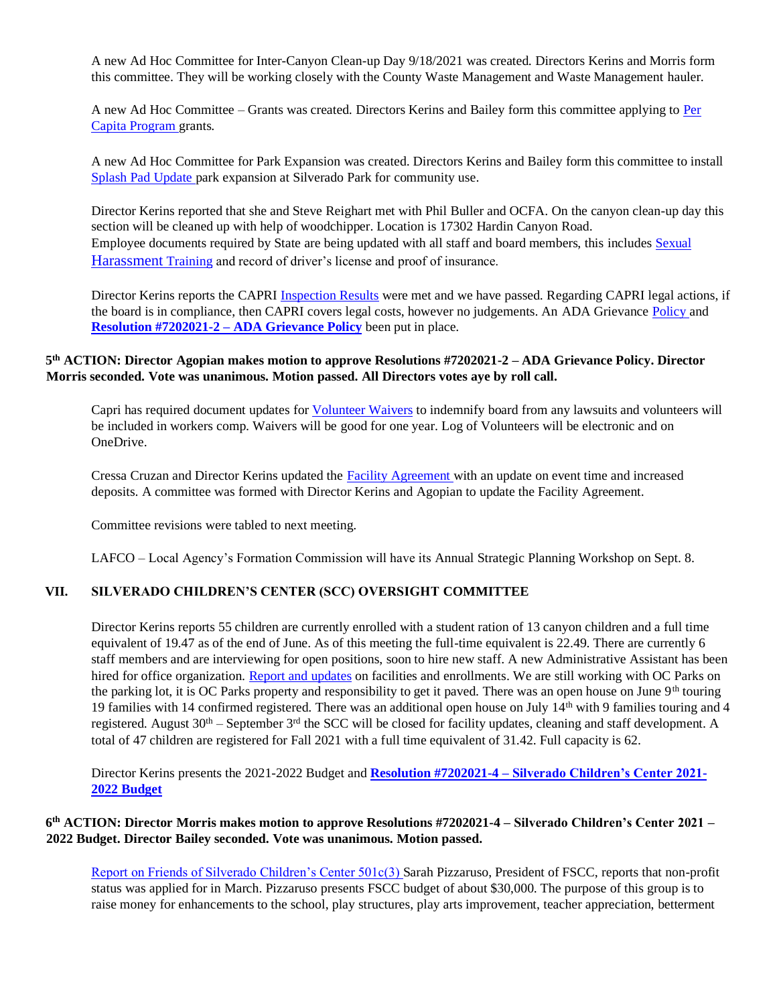A new Ad Hoc Committee for Inter-Canyon Clean-up Day 9/18/2021 was created. Directors Kerins and Morris form this committee. They will be working closely with the County Waste Management and Waste Management hauler.

A new Ad Hoc Committee – Grants was created. Directors Kerins and Bailey form this committee applying to [Per](https://www.parks.ca.gov/pages/1008/files/Per_Capita_All_Allocations_Table_7.1.20_2.2.21.pdf)  [Capita Program](https://www.parks.ca.gov/pages/1008/files/Per_Capita_All_Allocations_Table_7.1.20_2.2.21.pdf) grants.

A new Ad Hoc Committee for Park Expansion was created. Directors Kerins and Bailey form this committee to install [Splash Pad Update](https://1drv.ms/u/s!An_OKisCbP0Fikj4_c9MHh8VEqwd?e=Q9ZZqr) park expansion at Silverado Park for community use.

Director Kerins reported that she and Steve Reighart met with Phil Buller and OCFA. On the canyon clean-up day this section will be cleaned up with help of woodchipper. Location is 17302 Hardin Canyon Road. Employee documents required by State are being updated with all staff and board members, this includes [Sexual](https://www.dfeh.ca.gov/shpt/)  [Harassment](https://www.dfeh.ca.gov/shpt/) Training and record of driver's license and proof of insurance.

Director Kerins reports the CAPRI [Inspection Results](https://1drv.ms/w/s!An_OKisCbP0Fik4vlue71PYWyeIG?e=QW9C5F) were met and we have passed. Regarding CAPRI legal actions, if the board is in compliance, then CAPRI covers legal costs, however no judgements. An ADA Grievance [Policy](https://1drv.ms/b/s!An_OKisCbP0Fimue2sljXTEbT9jR?e=Bf3nl9) and **[Resolution #7202021-2 –](https://1drv.ms/b/s!An_OKisCbP0FimfGXdHumLzzHO7g?e=7KsqmR) ADA Grievance Policy** been put in place.

## **5 th ACTION: Director Agopian makes motion to approve Resolutions #7202021-2 – ADA Grievance Policy. Director Morris seconded. Vote was unanimous. Motion passed. All Directors votes aye by roll call.**

Capri has required document updates for [Volunteer Waivers](https://1drv.ms/u/s!An_OKisCbP0FilFp62_Bm_pmugw6?e=F80xDB) to indemnify board from any lawsuits and volunteers will be included in workers comp. Waivers will be good for one year. Log of Volunteers will be electronic and on OneDrive.

Cressa Cruzan and Director Kerins updated the [Facility Agreement](https://1drv.ms/u/s!An_OKisCbP0FilCxaNT59RteYalj?e=7zgZ2J) with an update on event time and increased deposits. A committee was formed with Director Kerins and Agopian to update the Facility Agreement.

Committee revisions were tabled to next meeting.

LAFCO – Local Agency's Formation Commission will have its Annual Strategic Planning Workshop on Sept. 8.

#### **VII. SILVERADO CHILDREN'S CENTER (SCC) OVERSIGHT COMMITTEE**

Director Kerins reports 55 children are currently enrolled with a student ration of 13 canyon children and a full time equivalent of 19.47 as of the end of June. As of this meeting the full-time equivalent is 22.49. There are currently 6 staff members and are interviewing for open positions, soon to hire new staff. A new Administrative Assistant has been hired for office organization. [Report and updates](https://1drv.ms/w/s!An_OKisCbP0FimJj0J21MBjInyi5?e=34YE22) on facilities and enrollments. We are still working with OC Parks on the parking lot, it is OC Parks property and responsibility to get it paved. There was an open house on June 9<sup>th</sup> touring 19 families with 14 confirmed registered. There was an additional open house on July  $14<sup>th</sup>$  with 9 families touring and 4 registered. August  $30<sup>th</sup>$  – September  $3<sup>rd</sup>$  the SCC will be closed for facility updates, cleaning and staff development. A total of 47 children are registered for Fall 2021 with a full time equivalent of 31.42. Full capacity is 62.

Director Kerins presents the 2021-2022 Budget and **Resolution #7202021-4 – [Silverado Children's Center 2021-](https://1drv.ms/x/s!An_OKisCbP0FilXcIPrUTaZTa3gg?e=UkS8qI) [2022 Budget](https://1drv.ms/x/s!An_OKisCbP0FilXcIPrUTaZTa3gg?e=UkS8qI)**

### **6 th ACTION: Director Morris makes motion to approve Resolutions #7202021-4 – Silverado Children's Center 2021 – 2022 Budget. Director Bailey seconded. Vote was unanimous. Motion passed.**

[Report on Friends of Silverado Children's Center 501c\(3\)](https://1drv.ms/b/s!An_OKisCbP0FinKpvnQrA2uzeRHS?e=FiyM9I) Sarah Pizzaruso, President of FSCC, reports that non-profit status was applied for in March. Pizzaruso presents FSCC budget of about \$30,000. The purpose of this group is to raise money for enhancements to the school, play structures, play arts improvement, teacher appreciation, betterment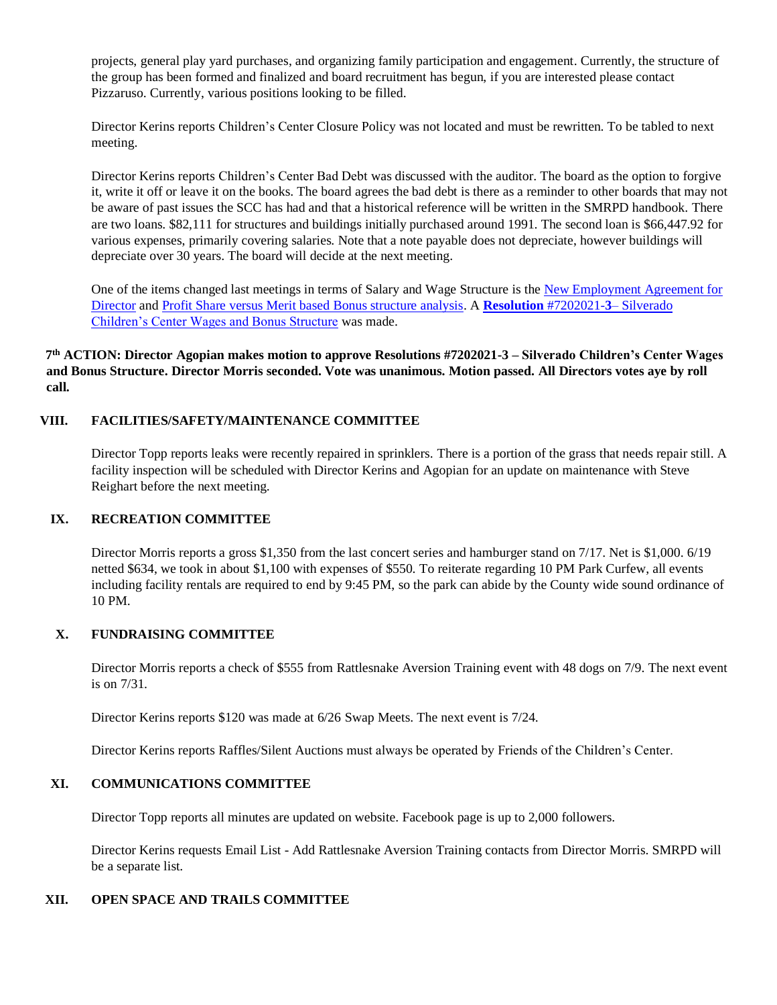projects, general play yard purchases, and organizing family participation and engagement. Currently, the structure of the group has been formed and finalized and board recruitment has begun, if you are interested please contact Pizzaruso. Currently, various positions looking to be filled.

Director Kerins reports Children's Center Closure Policy was not located and must be rewritten. To be tabled to next meeting.

Director Kerins reports Children's Center Bad Debt was discussed with the auditor. The board as the option to forgive it, write it off or leave it on the books. The board agrees the bad debt is there as a reminder to other boards that may not be aware of past issues the SCC has had and that a historical reference will be written in the SMRPD handbook. There are two loans. \$82,111 for structures and buildings initially purchased around 1991. The second loan is \$66,447.92 for various expenses, primarily covering salaries. Note that a note payable does not depreciate, however buildings will depreciate over 30 years. The board will decide at the next meeting.

One of the items changed last meetings in terms of Salary and Wage Structure is th[e New Employment Agreement for](https://1drv.ms/b/s!An_OKisCbP0FimR7XnNjDELTf6Sc?e=IBezlL)  [Director](https://1drv.ms/b/s!An_OKisCbP0FimR7XnNjDELTf6Sc?e=IBezlL) an[d Profit Share versus Merit based Bonus structure analysis.](https://1drv.ms/x/s!An_OKisCbP0FinG8CKUhfqC5WdqJ?e=5qRbNP) A **[Resolution](https://1drv.ms/b/s!An_OKisCbP0FilqZG9RsOdj7ETW_?e=JWFdCd)** #7202021-**3**– Silverado [Children's Center Wages and Bonus Structure](https://1drv.ms/b/s!An_OKisCbP0FilqZG9RsOdj7ETW_?e=JWFdCd) was made.

**7 th ACTION: Director Agopian makes motion to approve Resolutions #7202021-3 – Silverado Children's Center Wages and Bonus Structure. Director Morris seconded. Vote was unanimous. Motion passed. All Directors votes aye by roll call.**

## **VIII. FACILITIES/SAFETY/MAINTENANCE COMMITTEE**

Director Topp reports leaks were recently repaired in sprinklers. There is a portion of the grass that needs repair still. A facility inspection will be scheduled with Director Kerins and Agopian for an update on maintenance with Steve Reighart before the next meeting.

#### **IX. RECREATION COMMITTEE**

Director Morris reports a gross \$1,350 from the last concert series and hamburger stand on 7/17. Net is \$1,000. 6/19 netted \$634, we took in about \$1,100 with expenses of \$550. To reiterate regarding 10 PM Park Curfew, all events including facility rentals are required to end by 9:45 PM, so the park can abide by the County wide sound ordinance of 10 PM.

## **X. FUNDRAISING COMMITTEE**

Director Morris reports a check of \$555 from Rattlesnake Aversion Training event with 48 dogs on 7/9. The next event is on 7/31.

Director Kerins reports \$120 was made at 6/26 Swap Meets. The next event is 7/24.

Director Kerins reports Raffles/Silent Auctions must always be operated by Friends of the Children's Center.

### **XI. COMMUNICATIONS COMMITTEE**

Director Topp reports all minutes are updated on website. Facebook page is up to 2,000 followers.

Director Kerins requests Email List - Add Rattlesnake Aversion Training contacts from Director Morris. SMRPD will be a separate list.

## **XII. OPEN SPACE AND TRAILS COMMITTEE**